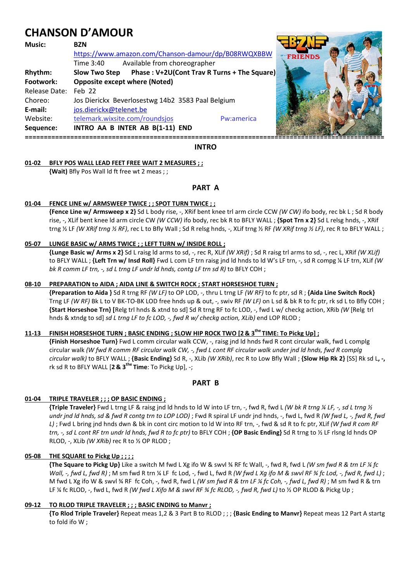# **CHANSON D'AMOUR**

| Music:        | <b>BZN</b>                                                          |                |
|---------------|---------------------------------------------------------------------|----------------|
|               | https://www.amazon.com/Chanson-damour/dp/B08RWQXBBW                 | <b>FRIENDS</b> |
|               | Available from choreographer<br>Time 3:40                           |                |
| Rhythm:       | Phase: V+2U(Cont Trav R Turns + The Square)<br><b>Slow Two Step</b> |                |
| Footwork:     | <b>Opposite except where (Noted)</b>                                |                |
| Release Date: | $Feh$ 22                                                            |                |
| Choreo:       | Jos Dierickx Beverlosestwg 14b2 3583 Paal Belgium                   |                |
| E-mail:       | jos.dierickx@telenet.be                                             |                |
| Website:      | telemark.wixsite.com/roundsjos<br>Pw:america                        |                |
| Sequence:     | INTRO AA B INTER AB B(1-11) END                                     |                |
|               |                                                                     |                |

# **INTRO**

#### **01-02 BFLY POS WALL LEAD FEET FREE WAIT 2 MEASURES ; ;**

 **{Wait)** Bfly Pos Wall ld ft free wt 2 meas ; ;

# **PART A**

#### **01-04 FENCE LINE w/ ARMSWEEP TWICE ; ; SPOT TURN TWICE ; ;**

**{Fence Line w/ Armsweep x 2}** Sd L body rise, -, XRif bent knee trl arm circle CCW *(W CW)* ifo body, rec bk L ; Sd R body rise, -, XLif bent knee ld arm circle CW *(W CCW)* ifo body, rec bk R to BFLY WALL ; **{Spot Trn x 2}** Sd L relsg hnds, -, XRif trng ½ LF *(W XRif trng ½ RF)*, rec L to Bfly Wall ; Sd R relsg hnds, -, XLif trng ½ RF *(W XRif trng ½ LF)*, rec R to BFLY WALL ;

### **05-07 LUNGE BASIC w/ ARMS TWICE ; ; LEFT TURN w/ INSIDE ROLL ;**

 **{Lunge Basic w/ Arms x 2}** Sd L raisg ld arms to sd, -, rec R, XLif *(W XRif)* ; Sd R raisg trl arms to sd, -, rec L, XRif *(W XLif)* to BFLY WALL ; **{Left Trn w/ Insd Roll}** Fwd L com LF trn raisg jnd ld hnds to ld W's LF trn, -, sd R compg ¼ LF trn, XLif *(W bk R comm LF trn, -, sd L trng LF undr ld hnds, contg LF trn sd R)* to BFLY COH ;

#### **08-10 PREPARATION to AIDA ; AIDA LINE & SWITCH ROCK ; START HORSESHOE TURN ;**

 **{Preparation to Aida }** Sd R trng RF *(W LF)* to OP LOD, -, thru L trng LF *(W RF)* to fc ptr, sd R ; **{Aida Line Switch Rock}** Trng LF *(W RF)* Bk L to V BK-TO-BK LOD free hnds up & out, -, swiv RF *(W LF)* on L sd & bk R to fc ptr, rk sd L to Bfly COH ; **{Start Horseshoe Trn} [**Relg trl hnds & xtnd to sd] Sd R trng RF to fc LOD, -, fwd L w/ checkg action, XRib *(W* [Relg trl hnds & xtndg to sd] *sd L trng LF to fc LOD, -, fwd R w/ checkg action, XLib)* end LOP RLOD ;

# **11-13 FINISH HORSESHOE TURN ; BASIC ENDING ; SLOW HIP ROCK TWO [2 & 3the TIME: To Pickg Up] ;**

 **{Finish Horseshoe Turn}** Fwd L comm circular walk CCW, -, raisg jnd ld hnds fwd R cont circular walk, fwd L complg circular walk *(W fwd R comm RF circular walk CW, -, fwd L cont RF circular walk under jnd ld hnds, fwd R complg circular walk)* to BFLY WALL ; **{Basic Ending}** Sd R, -, XLib *(W XRib)*, rec R to Low Bfly Wall ; **{Slow Hip Rk 2}** [SS] Rk sd L**, -,**  rk sd R to BFLY WALL [**2 & 3the Time**: To Pickg Up], -;

# **PART B**

# **01-04 TRIPLE TRAVELER ; ; ; OP BASIC ENDING ;**

 **{Triple Traveler}** Fwd L trng LF & raisg jnd ld hnds to ld W into LF trn, -, fwd R, fwd L *(W bk R trng ¼ LF, -, sd L trng ½ undr jnd ld hnds, sd & fwd R contg trn to LOP LOD)* ; Fwd R spiral LF undr jnd hnds, -, fwd L, fwd R *(W fwd L, -, fwd R, fwd L)* ; Fwd L bring jnd hnds dwn & bk in cont circ motion to ld W into RF trn, -, fwd & sd R to fc ptr, XLif *(W fwd R com RF trn, -, sd L cont RF trn undr ld hnds, fwd R to fc ptr)* to BFLY COH ; **{OP Basic Ending}** Sd R trng to ½ LF rlsng ld hnds OP RLOD, -, XLib *(W XRib)* rec R to ½ OP RLOD ;

### **05-08 THE SQUARE to Pickg Up ; ; ; ;**

 **{The Square to Pickg Up}** Like a switch M fwd L Xg ifo W & swvl ¾ RF fc Wall, -, fwd R, fwd L *(W sm fwd R & trn LF ¼ fc Wall, -, fwd L, fwd R)* ; M sm fwd R trn ¼ LF fc Lod, -, fwd L, fwd R *(W fwd L Xg ifo M & swvl RF ¾ fc Lod, -, fwd R, fwd L)* ; M fwd L Xg ifo W & swvl ¾ RF fc Coh, -, fwd R, fwd L *(W sm fwd R & trn LF ¼ fc Coh, -, fwd L, fwd R)* ; M sm fwd R & trn LF ¼ fc RLOD, -, fwd L, fwd R *(W fwd L Xifo M & swvl RF ¾ fc RLOD, -, fwd R, fwd L)* to ½ OP RLOD & Pickg Up ;

#### **09-12 TO RLOD TRIPLE TRAVELER ; ; ; BASIC ENDING to Manvr ;**

 **{To Rlod Triple Traveler}** Repeat meas 1,2 & 3 Part B to RLOD ; ; ; **{Basic Ending to Manvr}** Repeat meas 12 Part A startg to fold ifo W ;